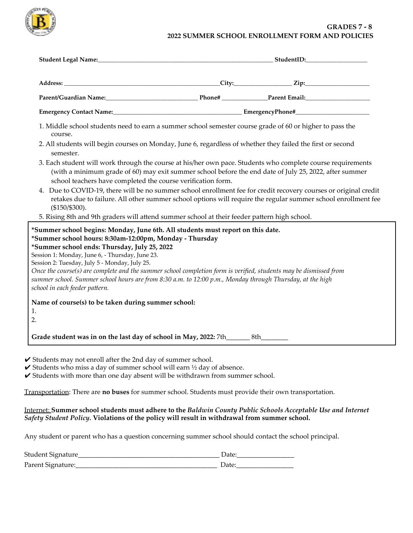

## **GRADES 7 - 8 2022 SUMMER SCHOOL ENROLLMENT FORM AND POLICIES**

| 1. Middle school students need to earn a summer school semester course grade of 60 or higher to pass the<br>course.                                                                                                                                                                                                                                                                                                                                                                                                                                                |  |                                                                                                               |
|--------------------------------------------------------------------------------------------------------------------------------------------------------------------------------------------------------------------------------------------------------------------------------------------------------------------------------------------------------------------------------------------------------------------------------------------------------------------------------------------------------------------------------------------------------------------|--|---------------------------------------------------------------------------------------------------------------|
| 2. All students will begin courses on Monday, June 6, regardless of whether they failed the first or second<br>semester.                                                                                                                                                                                                                                                                                                                                                                                                                                           |  |                                                                                                               |
| 3. Each student will work through the course at his/her own pace. Students who complete course requirements<br>(with a minimum grade of 60) may exit summer school before the end date of July 25, 2022, after summer<br>school teachers have completed the course verification form.                                                                                                                                                                                                                                                                              |  |                                                                                                               |
| 4. Due to COVID-19, there will be no summer school enrollment fee for credit recovery courses or original credit<br>$($150/\$300).$                                                                                                                                                                                                                                                                                                                                                                                                                                |  | retakes due to failure. All other summer school options will require the regular summer school enrollment fee |
| 5. Rising 8th and 9th graders will attend summer school at their feeder pattern high school.                                                                                                                                                                                                                                                                                                                                                                                                                                                                       |  |                                                                                                               |
| *Summer school begins: Monday, June 6th. All students must report on this date.<br>*Summer school hours: 8:30am-12:00pm, Monday - Thursday<br>*Summer school ends: Thursday, July 25, 2022<br>Session 1: Monday, June 6, - Thursday, June 23.<br>Session 2: Tuesday, July 5 - Monday, July 25.<br>Once the course(s) are complete and the summer school completion form is verified, students may be dismissed from<br>summer school. Summer school hours are from 8:30 a.m. to 12:00 p.m., Monday through Thursday, at the high<br>school in each feeder pattern. |  |                                                                                                               |
| Name of course(s) to be taken during summer school:                                                                                                                                                                                                                                                                                                                                                                                                                                                                                                                |  |                                                                                                               |
| 1.<br>2.                                                                                                                                                                                                                                                                                                                                                                                                                                                                                                                                                           |  |                                                                                                               |
|                                                                                                                                                                                                                                                                                                                                                                                                                                                                                                                                                                    |  |                                                                                                               |

 $\triangledown$  Students may not enroll after the 2nd day of summer school.

 $\checkmark$  Students who miss a day of summer school will earn  $\frac{1}{2}$  day of absence.

 $\checkmark$  Students with more than one day absent will be withdrawn from summer school.

Transportation: There are **no buses** for summer school. Students must provide their own transportation.

## Internet: **Summer school students must adhere to the** *Baldwin County Public Schools Acceptable Use and Internet Safety Student Policy***. Violations of the policy will result in withdrawal from summer school.**

Any student or parent who has a question concerning summer school should contact the school principal.

| Student Signature |  |
|-------------------|--|
| Parent Signature: |  |